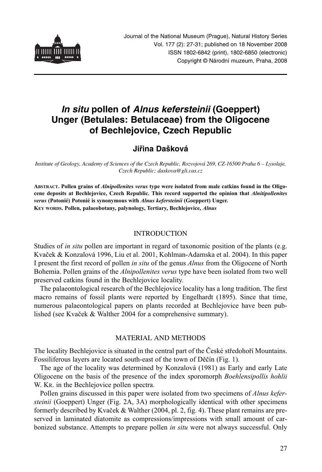

# *In situ* **pollen of** *Alnus kefersteinii* **(Goeppert) Unger (Betulales: Betulaceae) from the Oligocene of Bechlejovice, Czech Republic**

# **Jiřina Dašková**

*Institute of Geology, Academy of Sciences of the Czech Republic, Rozvojová 269, CZ-16500 Praha 6 – Lysolaje, Czech Republic; daskova@gli.cas.cz*

**ABSTRACT. Pollen grains of** *Alnipollenites verus* **type were isolated from male catkins found in the Oligocene deposits at Bechlejovice, Czech Republic. This record supported the opinion that** *Alnitipollenites verus* **(Potonié) Potonié is synonymous with** *Alnus kefersteinii* **(Goeppert) Unger. KEY WORDS. Pollen, palaeobotany, palynology, Tertiary, Bechlejovice,** *Alnus*

# INTRODUCTION

Studies of *in situ* pollen are important in regard of taxonomic position of the plants (e.g. Kvaček & Konzalová 1996, Liu et al. 2001, Kohlman-Adamska et al. 2004). In this paper I present the first record of pollen *in situ* of the genus *Alnus* from the Oligocene of North Bohemia. Pollen grains of the *Alnipollenites verus* type have been isolated from two well preserved catkins found in the Bechlejovice locality.

The palaeontological research of the Bechlejovice locality has a long tradition. The first macro remains of fossil plants were reported by Engelhardt (1895). Since that time, numerous palaeontological papers on plants recorded at Bechlejovice have been published (see Kvaček & Walther 2004 for a comprehensive summary).

# MATERIAL AND METHODS

The locality Bechlejovice is situated in the central part of the České středohoří Mountains. Fossiliferous layers are located south-east of the town of Děčín (Fig. 1).

The age of the locality was determined by Konzalová (1981) as Early and early Late Oligocene on the basis of the presence of the index sporomorph *Boehlensipollis hohlii* W. KR. in the Bechlejovice pollen spectra.

Pollen grains discussed in this paper were isolated from two specimens of *Alnus kefersteinii* (Goeppert) Unger (Fig. 2A, 3A) morphologically identical with other specimens formerly described by Kvaček & Walther (2004, pl. 2, fig. 4). These plant remains are preserved in laminated diatomite as compressions/impressions with small amount of carbonized substance. Attempts to prepare pollen *in situ* were not always successful. Only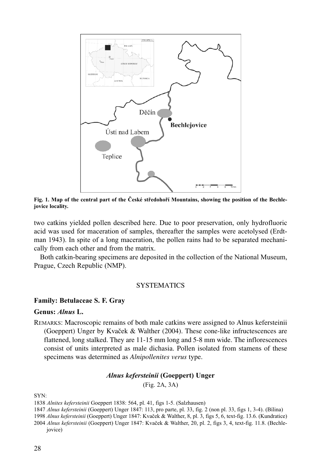

**Fig. 1. Map of the central part of the České středohoří Mountains, showing the position of the Bechlejovice locality.**

two catkins yielded pollen described here. Due to poor preservation, only hydrofluoric acid was used for maceration of samples, thereafter the samples were acetolysed (Erdtman 1943). In spite of a long maceration, the pollen rains had to be separated mechanically from each other and from the matrix.

Both catkin-bearing specimens are deposited in the collection of the National Museum, Prague, Czech Republic (NMP).

## **SYSTEMATICS**

#### **Family: Betulaceae S. F. Gray**

# **Genus:** *Alnus* **L.**

REMARKS: Macroscopic remains of both male catkins were assigned to Alnus kefersteinii (Goeppert) Unger by Kvaček & Walther (2004). These cone-like infructescences are flattened, long stalked. They are 11-15 mm long and 5-8 mm wide. The inflorescences consist of units interpreted as male dichasia. Pollen isolated from stamens of these specimens was determined as *Alnipollenites verus* type.

## *Alnus kefersteinii* **(Goeppert) Unger**

(Fig. 2A, 3A)

SYN:

- 1998 *Alnus kefersteinii* (Goeppert) Unger 1847: Kvaček & Walther, 8, pl. 3, figs 5, 6, text-fig. 13.6. (Kundratice)
- 2004 *Alnus kefersteinii* (Goeppert) Unger 1847: Kvaček & Walther, 20, pl. 2, figs 3, 4, text-fig. 11.8. (Bechlejovice)

<sup>1838</sup> *Alnites kefersteinii* Goeppert 1838: 564, pl. 41, figs 1-5. (Salzhausen)

<sup>1847</sup> *Alnus kefersteinii* (Goeppert) Unger 1847: 113, pro parte, pl. 33, fig. 2 (non pl. 33, figs 1, 3-4). (Bílina)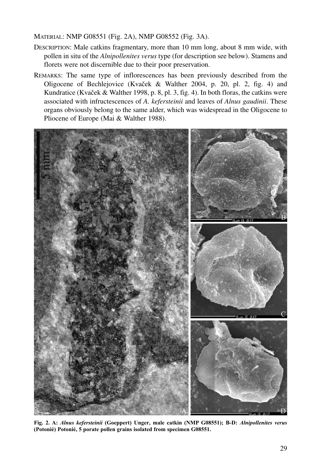MATERIAL: NMP G08551 (Fig. 2A), NMP G08552 (Fig. 3A).

- DESCRIPTION: Male catkins fragmentary, more than 10 mm long, about 8 mm wide, with pollen in situ of the *Alnipollenites verus* type (for description see below). Stamens and florets were not discernible due to their poor preservation.
- REMARKS: The same type of inflorescences has been previously described from the Oligocene of Bechlejovice (Kvaček & Walther 2004, p. 20, pl. 2, fig. 4) and Kundratice (Kvaček & Walther 1998, p. 8, pl. 3, fig. 4). In both floras, the catkins were associated with infructescences of *A. kefersteinii* and leaves of *Alnus gaudinii*. These organs obviously belong to the same alder, which was widespread in the Oligocene to Pliocene of Europe (Mai & Walther 1988).



**Fig. 2. A:** *Alnus kefersteinii* **(Goeppert) Unger, male catkin (NMP G08551); B-D:** *Alnipollenites verus* **(Potonié) Potonié, 5 porate pollen grains isolated from specimen G08551.**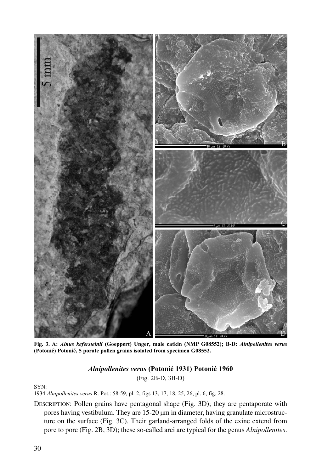

**Fig. 3. A:** *Alnus kefersteinii* **(Goeppert) Unger, male catkin (NMP G08552); B-D:** *Alnipollenites verus* **(Potonié) Potonié, 5 porate pollen grains isolated from specimen G08552.**

# *Alnipollenites verus* **(Potonié 1931) Potonié 1960** (Fig. 2B-D, 3B-D)

SYN:

1934 *Alnipollenites verus* R. Pot.: 58-59, pl. 2, figs 13, 17, 18, 25, 26, pl. 6, fig. 28.

DESCRIPTION: Pollen grains have pentagonal shape (Fig. 3D); they are pentaporate with pores having vestibulum. They are 15-20 µm in diameter, having granulate microstructure on the surface (Fig. 3C). Their garland-arranged folds of the exine extend from pore to pore (Fig. 2B, 3D); these so-called arci are typical for the genus *Alnipollenites*.